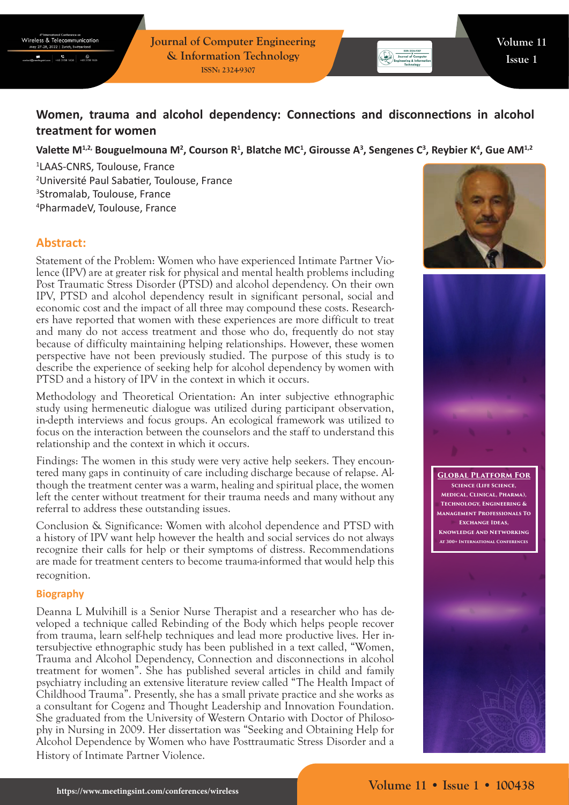$\begin{array}{|c|c|c|c|}\n\hline\n\text{+65 3158 1626} & \text{+65 3158 1626}\n\hline\n\end{array}$ 

**Journal of Computer Engineering & Information Technology ISSN: 2324-9307**

# **Women, trauma and alcohol dependency: Connections and disconnections in alcohol treatment for women**

## Valette M<sup>1,2,</sup> Bouguelmouna M<sup>2</sup>, Courson R<sup>1</sup>, Blatche MC<sup>1</sup>, Girousse A<sup>3</sup>, Sengenes C<sup>3</sup>, Reybier K<sup>4</sup>, Gue AM<sup>1,2</sup>

 LAAS-CNRS, Toulouse, France Université Paul Sabatier, Toulouse, France Stromalab, Toulouse, France PharmadeV, Toulouse, France

# **Abstract:**

Statement of the Problem: Women who have experienced Intimate Partner Violence (IPV) are at greater risk for physical and mental health problems including Post Traumatic Stress Disorder (PTSD) and alcohol dependency. On their own IPV, PTSD and alcohol dependency result in significant personal, social and economic cost and the impact of all three may compound these costs. Researchers have reported that women with these experiences are more difficult to treat and many do not access treatment and those who do, frequently do not stay because of difficulty maintaining helping relationships. However, these women perspective have not been previously studied. The purpose of this study is to describe the experience of seeking help for alcohol dependency by women with PTSD and a history of IPV in the context in which it occurs.

Methodology and Theoretical Orientation: An inter subjective ethnographic study using hermeneutic dialogue was utilized during participant observation, in-depth interviews and focus groups. An ecological framework was utilized to focus on the interaction between the counselors and the staff to understand this relationship and the context in which it occurs.

Findings: The women in this study were very active help seekers. They encountered many gaps in continuity of care including discharge because of relapse. Although the treatment center was a warm, healing and spiritual place, the women left the center without treatment for their trauma needs and many without any referral to address these outstanding issues.

Conclusion & Significance: Women with alcohol dependence and PTSD with a history of IPV want help however the health and social services do not always recognize their calls for help or their symptoms of distress. Recommendations are made for treatment centers to become trauma-informed that would help this recognition.

#### **Biography**

Deanna L Mulvihill is a Senior Nurse Therapist and a researcher who has developed a technique called Rebinding of the Body which helps people recover from trauma, learn self-help techniques and lead more productive lives. Her intersubjective ethnographic study has been published in a text called, "Women, Trauma and Alcohol Dependency, Connection and disconnections in alcohol treatment for women". She has published several articles in child and family psychiatry including an extensive literature review called "The Health Impact of Childhood Trauma". Presently, she has a small private practice and she works as a consultant for Cogenz and Thought Leadership and Innovation Foundation. She graduated from the University of Western Ontario with Doctor of Philosophy in Nursing in 2009. Her dissertation was "Seeking and Obtaining Help for Alcohol Dependence by Women who have Posttraumatic Stress Disorder and a History of Intimate Partner Violence.





**Global Platform For Science (Life Science, Medical, Clinical, Pharma), Technology, Engineering & Management Professionals To Exchange Ideas, Knowledge And Networking At 300+ International Conferences**